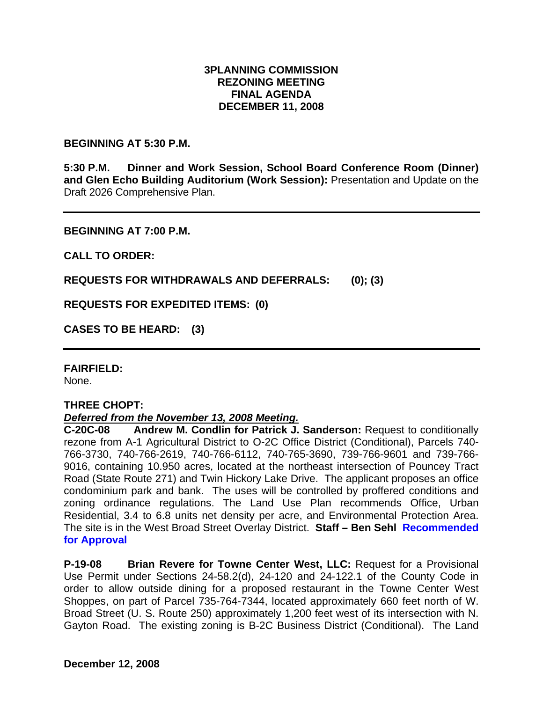# **3PLANNING COMMISSION REZONING MEETING FINAL AGENDA DECEMBER 11, 2008**

## **BEGINNING AT 5:30 P.M.**

**5:30 P.M. Dinner and Work Session, School Board Conference Room (Dinner) and Glen Echo Building Auditorium (Work Session):** Presentation and Update on the Draft 2026 Comprehensive Plan.

#### **BEGINNING AT 7:00 P.M.**

**CALL TO ORDER:** 

**REQUESTS FOR WITHDRAWALS AND DEFERRALS: (0); (3)** 

**REQUESTS FOR EXPEDITED ITEMS: (0)** 

**CASES TO BE HEARD: (3)** 

## **FAIRFIELD:**

None.

## **THREE CHOPT:**

## *Deferred from the November 13, 2008 Meeting.*

**C-20C-08 Andrew M. Condlin for Patrick J. Sanderson:** Request to conditionally rezone from A-1 Agricultural District to O-2C Office District (Conditional), Parcels 740- 766-3730, 740-766-2619, 740-766-6112, 740-765-3690, 739-766-9601 and 739-766- 9016, containing 10.950 acres, located at the northeast intersection of Pouncey Tract Road (State Route 271) and Twin Hickory Lake Drive. The applicant proposes an office condominium park and bank. The uses will be controlled by proffered conditions and zoning ordinance regulations. The Land Use Plan recommends Office, Urban Residential, 3.4 to 6.8 units net density per acre, and Environmental Protection Area. The site is in the West Broad Street Overlay District. **Staff – Ben Sehl Recommended for Approval** 

**P-19-08 Brian Revere for Towne Center West, LLC:** Request for a Provisional Use Permit under Sections 24-58.2(d), 24-120 and 24-122.1 of the County Code in order to allow outside dining for a proposed restaurant in the Towne Center West Shoppes, on part of Parcel 735-764-7344, located approximately 660 feet north of W. Broad Street (U. S. Route 250) approximately 1,200 feet west of its intersection with N. Gayton Road. The existing zoning is B-2C Business District (Conditional). The Land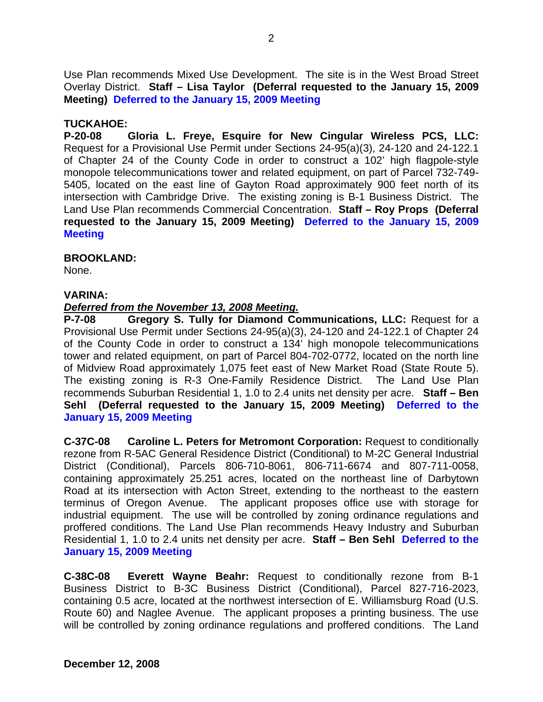Use Plan recommends Mixed Use Development. The site is in the West Broad Street Overlay District. **Staff – Lisa Taylor (Deferral requested to the January 15, 2009 Meeting) Deferred to the January 15, 2009 Meeting**

# **TUCKAHOE:**

**P-20-08 Gloria L. Freye, Esquire for New Cingular Wireless PCS, LLC:** Request for a Provisional Use Permit under Sections 24-95(a)(3), 24-120 and 24-122.1 of Chapter 24 of the County Code in order to construct a 102' high flagpole-style monopole telecommunications tower and related equipment, on part of Parcel 732-749- 5405, located on the east line of Gayton Road approximately 900 feet north of its intersection with Cambridge Drive. The existing zoning is B-1 Business District. The Land Use Plan recommends Commercial Concentration. **Staff – Roy Props (Deferral requested to the January 15, 2009 Meeting) Deferred to the January 15, 2009 Meeting**

## **BROOKLAND:**

None.

# **VARINA:**

# *Deferred from the November 13, 2008 Meeting.*

**P-7-08 Gregory S. Tully for Diamond Communications, LLC:** Request for a Provisional Use Permit under Sections 24-95(a)(3), 24-120 and 24-122.1 of Chapter 24 of the County Code in order to construct a 134' high monopole telecommunications tower and related equipment, on part of Parcel 804-702-0772, located on the north line of Midview Road approximately 1,075 feet east of New Market Road (State Route 5). The existing zoning is R-3 One-Family Residence District. The Land Use Plan recommends Suburban Residential 1, 1.0 to 2.4 units net density per acre. **Staff – Ben Sehl (Deferral requested to the January 15, 2009 Meeting) Deferred to the January 15, 2009 Meeting**

**C-37C-08 Caroline L. Peters for Metromont Corporation:** Request to conditionally rezone from R-5AC General Residence District (Conditional) to M-2C General Industrial District (Conditional), Parcels 806-710-8061, 806-711-6674 and 807-711-0058, containing approximately 25.251 acres, located on the northeast line of Darbytown Road at its intersection with Acton Street, extending to the northeast to the eastern terminus of Oregon Avenue. The applicant proposes office use with storage for industrial equipment. The use will be controlled by zoning ordinance regulations and proffered conditions. The Land Use Plan recommends Heavy Industry and Suburban Residential 1, 1.0 to 2.4 units net density per acre. **Staff – Ben Sehl Deferred to the January 15, 2009 Meeting**

**C-38C-08 Everett Wayne Beahr:** Request to conditionally rezone from B-1 Business District to B-3C Business District (Conditional), Parcel 827-716-2023, containing 0.5 acre, located at the northwest intersection of E. Williamsburg Road (U.S. Route 60) and Naglee Avenue. The applicant proposes a printing business. The use will be controlled by zoning ordinance regulations and proffered conditions. The Land